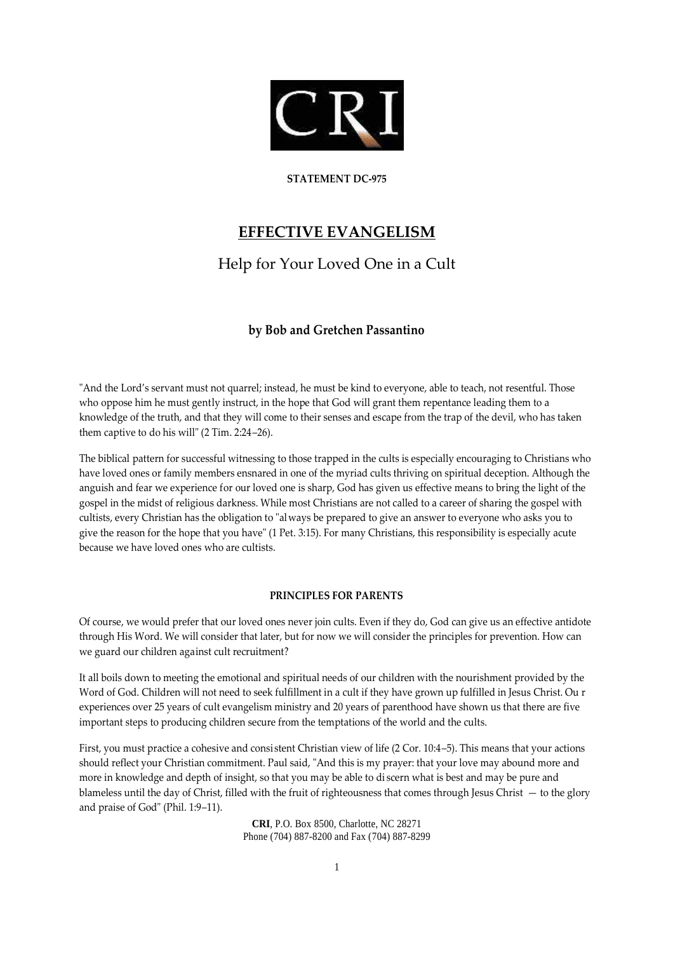

### **STATEMENT DC-975**

# **EFFECTIVE EVANGELISM**

# Help for Your Loved One in a Cult

## **by Bob and Gretchen Passantino**

"And the Lord's servant must not quarrel; instead, he must be kind to everyone, able to teach, not resentful. Those who oppose him he must gently instruct, in the hope that God will grant them repentance leading them to a knowledge of the truth, and that they will come to their senses and escape from the trap of the devil, who has taken them captive to do his will" (2 Tim. 2:24–26).

The biblical pattern for successful witnessing to those trapped in the cults is especially encouraging to Christians who have loved ones or family members ensnared in one of the myriad cults thriving on spiritual deception. Although the anguish and fear we experience for our loved one is sharp, God has given us effective means to bring the light of the gospel in the midst of religious darkness. While most Christians are not called to a career of sharing the gospel with cultists, every Christian has the obligation to "always be prepared to give an answer to everyone who asks you to give the reason for the hope that you have" (1 Pet. 3:15). For many Christians, this responsibility is especially acute because we have loved ones who are cultists.

### **PRINCIPLES FOR PARENTS**

Of course, we would prefer that our loved ones never join cults. Even if they do, God can give us an effective antidote through His Word. We will consider that later, but for now we will consider the principles for prevention. How can we guard our children against cult recruitment?

It all boils down to meeting the emotional and spiritual needs of our children with the nourishment provided by the Word of God. Children will not need to seek fulfillment in a cult if they have grown up fulfilled in Jesus Christ. Ou r experiences over 25 years of cult evangelism ministry and 20 years of parenthood have shown us that there are five important steps to producing children secure from the temptations of the world and the cults.

First, you must practice a cohesive and consi stent Christian view of life (2 Cor. 10:4–5). This means that your actions should reflect your Christian commitment. Paul said, "And this is my prayer: that your love may abound more and more in knowledge and depth of insight, so that you may be able to di scern what is best and may be pure and blameless until the day of Christ, filled with the fruit of righteousness that comes through Jesus Christ — to the glory and praise of God" (Phil. 1:9–11).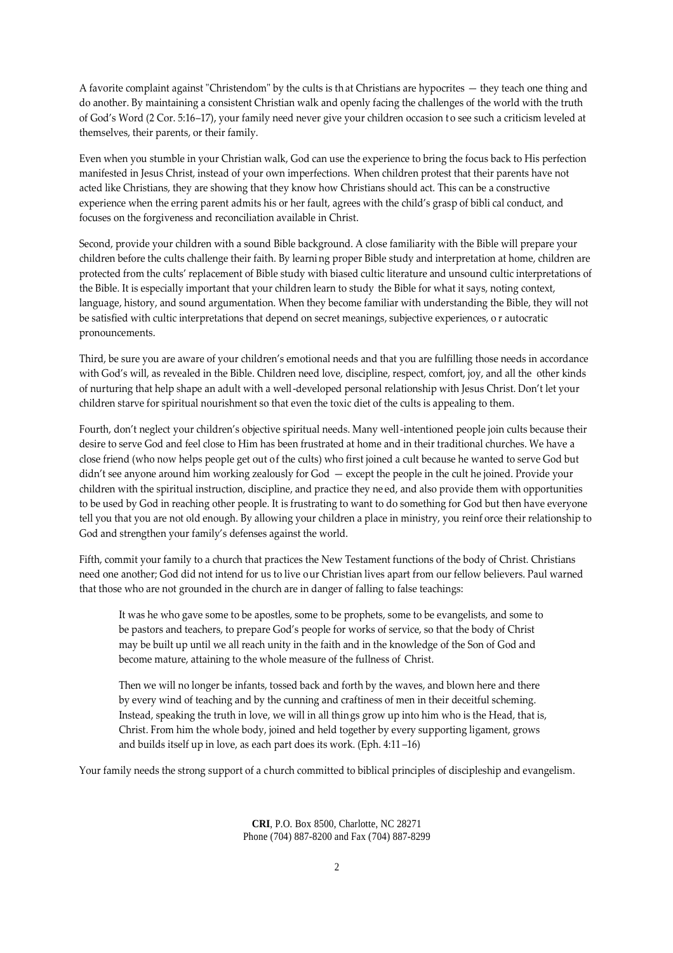A favorite complaint against "Christendom" by the cults is th at Christians are hypocrites — they teach one thing and do another. By maintaining a consistent Christian walk and openly facing the challenges of the world with the truth of God's Word (2 Cor. 5:16–17), your family need never give your children occasion to see such a criticism leveled at themselves, their parents, or their family.

Even when you stumble in your Christian walk, God can use the experience to bring the focus back to His perfection manifested in Jesus Christ, instead of your own imperfections. When children protest that their parents have not acted like Christians, they are showing that they know how Christians should act. This can be a constructive experience when the erring parent admits his or her fault, agrees with the child's grasp of bibli cal conduct, and focuses on the forgiveness and reconciliation available in Christ.

Second, provide your children with a sound Bible background. A close familiarity with the Bible will prepare your children before the cults challenge their faith. By learni ng proper Bible study and interpretation at home, children are protected from the cults' replacement of Bible study with biased cultic literature and unsound cultic interpretations of the Bible. It is especially important that your children learn to study the Bible for what it says, noting context, language, history, and sound argumentation. When they become familiar with understanding the Bible, they will not be satisfied with cultic interpretations that depend on secret meanings, subjective experiences, o r autocratic pronouncements.

Third, be sure you are aware of your children's emotional needs and that you are fulfilling those needs in accordance with God's will, as revealed in the Bible. Children need love, discipline, respect, comfort, joy, and all the other kinds of nurturing that help shape an adult with a well-developed personal relationship with Jesus Christ. Don't let your children starve for spiritual nourishment so that even the toxic diet of the cults is appealing to them.

Fourth, don't neglect your children's objective spiritual needs. Many well-intentioned people join cults because their desire to serve God and feel close to Him has been frustrated at home and in their traditional churches. We have a close friend (who now helps people get out of the cults) who first joined a cult because he wanted to serve God but didn't see anyone around him working zealously for God — except the people in the cult he joined. Provide your children with the spiritual instruction, discipline, and practice they ne ed, and also provide them with opportunities to be used by God in reaching other people. It is frustrating to want to do something for God but then have everyone tell you that you are not old enough. By allowing your children a place in ministry, you reinf orce their relationship to God and strengthen your family's defenses against the world.

Fifth, commit your family to a church that practices the New Testament functions of the body of Christ. Christians need one another; God did not intend for us to live our Christian lives apart from our fellow believers. Paul warned that those who are not grounded in the church are in danger of falling to false teachings:

It was he who gave some to be apostles, some to be prophets, some to be evangelists, and some to be pastors and teachers, to prepare God's people for works of service, so that the body of Christ may be built up until we all reach unity in the faith and in the knowledge of the Son of God and become mature, attaining to the whole measure of the fullness of Christ.

Then we will no longer be infants, tossed back and forth by the waves, and blown here and there by every wind of teaching and by the cunning and craftiness of men in their deceitful scheming. Instead, speaking the truth in love, we will in all things grow up into him who is the Head, that is, Christ. From him the whole body, joined and held together by every supporting ligament, grows and builds itself up in love, as each part does its work. (Eph. 4:11 –16)

Your family needs the strong support of a church committed to biblical principles of discipleship and evangelism.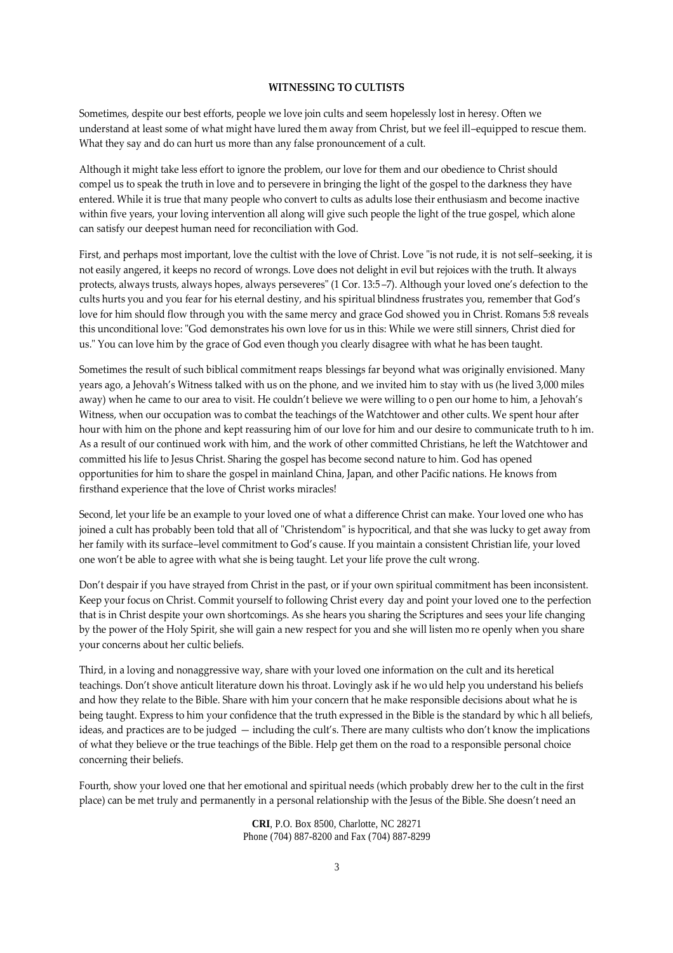#### **WITNESSING TO CULTISTS**

Sometimes, despite our best efforts, people we love join cults and seem hopelessly lost in heresy. Often we understand at least some of what might have lured them away from Christ, but we feel ill–equipped to rescue them. What they say and do can hurt us more than any false pronouncement of a cult.

Although it might take less effort to ignore the problem, our love for them and our obedience to Christ should compel us to speak the truth in love and to persevere in bringing the light of the gospel to the darkness they have entered. While it is true that many people who convert to cults as adults lose their enthusiasm and become inactive within five years, your loving intervention all along will give such people the light of the true gospel, which alone can satisfy our deepest human need for reconciliation with God.

First, and perhaps most important, love the cultist with the love of Christ. Love "is not rude, it is not self–seeking, it is not easily angered, it keeps no record of wrongs. Love does not delight in evil but rejoices with the truth. It always protects, always trusts, always hopes, always perseveres" (1 Cor. 13:5 –7). Although your loved one's defection to the cults hurts you and you fear for his eternal destiny, and his spiritual blindness frustrates you, remember that God's love for him should flow through you with the same mercy and grace God showed you in Christ. Romans 5:8 reveals this unconditional love: "God demonstrates his own love for us in this: While we were still sinners, Christ died for us." You can love him by the grace of God even though you clearly disagree with what he has been taught.

Sometimes the result of such biblical commitment reaps blessings far beyond what was originally envisioned. Many years ago, a Jehovah's Witness talked with us on the phone, and we invited him to stay with us (he lived 3,000 miles away) when he came to our area to visit. He couldn't believe we were willing to o pen our home to him, a Jehovah's Witness, when our occupation was to combat the teachings of the Watchtower and other cults. We spent hour after hour with him on the phone and kept reassuring him of our love for him and our desire to communicate truth to h im. As a result of our continued work with him, and the work of other committed Christians, he left the Watchtower and committed his life to Jesus Christ. Sharing the gospel has become second nature to him. God has opened opportunities for him to share the gospel in mainland China, Japan, and other Pacific nations. He knows from firsthand experience that the love of Christ works miracles!

Second, let your life be an example to your loved one of what a difference Christ can make. Your loved one who has joined a cult has probably been told that all of "Christendom" is hypocritical, and that she was lucky to get away from her family with its surface–level commitment to God's cause. If you maintain a consistent Christian life, your loved one won't be able to agree with what she is being taught. Let your life prove the cult wrong.

Don't despair if you have strayed from Christ in the past, or if your own spiritual commitment has been inconsistent. Keep your focus on Christ. Commit yourself to following Christ every day and point your loved one to the perfection that is in Christ despite your own shortcomings. As she hears you sharing the Scriptures and sees your life changing by the power of the Holy Spirit, she will gain a new respect for you and she will listen mo re openly when you share your concerns about her cultic beliefs.

Third, in a loving and nonaggressive way, share with your loved one information on the cult and its heretical teachings. Don't shove anticult literature down his throat. Lovingly ask if he wo uld help you understand his beliefs and how they relate to the Bible. Share with him your concern that he make responsible decisions about what he is being taught. Express to him your confidence that the truth expressed in the Bible is the standard by whic h all beliefs, ideas, and practices are to be judged — including the cult's. There are many cultists who don't know the implications of what they believe or the true teachings of the Bible. Help get them on the road to a responsible personal choice concerning their beliefs.

Fourth, show your loved one that her emotional and spiritual needs (which probably drew her to the cult in the first place) can be met truly and permanently in a personal relationship with the Jesus of the Bible. She doesn't need an